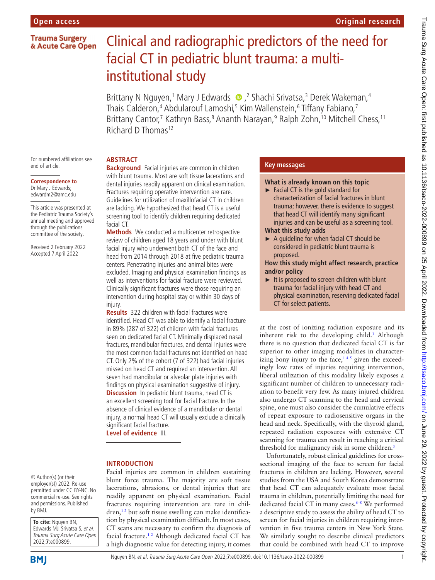## **Open access**

**Trauma Surgery** & Acute Care Open

# Clinical and radiographic predictors of the need for facial CT in pediatric blunt trauma: a multiinstitutional study

BrittanyN Nguyen,<sup>1</sup> Mary J Edwards (D, 2 Shachi Srivatsa,<sup>3</sup> Derek Wakeman,<sup>4</sup> Thais Calderon,<sup>4</sup> Abdularouf Lamoshi,<sup>5</sup> Kim Wallenstein,<sup>6</sup> Tiffany Fabiano,<sup>7</sup> Brittany Cantor,<sup>7</sup> Kathryn Bass,<sup>8</sup> Ananth Narayan,<sup>9</sup> Ralph Zohn,<sup>10</sup> Mitchell Chess,<sup>11</sup> Richard D Thomas<sup>12</sup>

For numbered affiliations see end of article.

#### **Correspondence to** Dr Mary J Edwards; edwardm2@amc.edu

This article was presented at the Pediatric Trauma Society's annual meeting and approved through the publications committee of the society.

Received 2 February 2022 Accepted 7 April 2022

## **ABSTRACT**

**Background** Facial injuries are common in children with blunt trauma. Most are soft tissue lacerations and dental injuries readily apparent on clinical examination. Fractures requiring operative intervention are rare. Guidelines for utilization of maxillofacial CT in children are lacking. We hypothesized that head CT is a useful screening tool to identify children requiring dedicated facial CT.

**Methods** We conducted a multicenter retrospective review of children aged 18 years and under with blunt facial injury who underwent both CT of the face and head from 2014 through 2018 at five pediatric trauma centers. Penetrating injuries and animal bites were excluded. Imaging and physical examination findings as well as interventions for facial fracture were reviewed. Clinically significant fractures were those requiring an intervention during hospital stay or within 30 days of injury.

**Results** 322 children with facial fractures were identified. Head CT was able to identify a facial fracture in 89% (287 of 322) of children with facial fractures seen on dedicated facial CT. Minimally displaced nasal fractures, mandibular fractures, and dental injuries were the most common facial fractures not identified on head CT. Only 2% of the cohort (7 of 322) had facial injuries missed on head CT and required an intervention. All seven had mandibular or alveolar plate injuries with findings on physical examination suggestive of injury. **Discussion** In pediatric blunt trauma, head CT is an excellent screening tool for facial fracture. In the absence of clinical evidence of a mandibular or dental injury, a normal head CT will usually exclude a clinically significant facial fracture.

**Level of evidence** III.

## **INTRODUCTION**

© Author(s) (or their employer(s)) 2022. Re-use permitted under CC BY-NC. No commercial re-use. See rights and permissions. Published by BMJ.

**To cite:** Nguyen BN, Edwards MJ, Srivatsa S, et al. Trauma Surg Acute Care Open 2022;**7**:e000899.

**BMI** 

Facial injuries are common in children sustaining blunt force trauma. The majority are soft tissue lacerations, abrasions, or dental injuries that are readily apparent on physical examination. Facial fractures requiring intervention are rare in chil $dren<sup>12</sup>$  but soft tissue swelling can make identification by physical examination difficult. In most cases, CT scans are necessary to confirm the diagnosis of facial fracture.[1 2](#page-4-0) Although dedicated facial CT has a high diagnostic value for detecting injury, it comes

# **Key messages**

### **What is already known on this topic**

- ► Facial CT is the gold standard for characterization of facial fractures in blunt trauma; however, there is evidence to suggest that head CT will identify many significant injuries and can be useful as a screening tool. **What this study adds**
- ► A guideline for when facial CT should be considered in pediatric blunt trauma is proposed.

#### **How this study might affect research, practice and/or policy**

► It is proposed to screen children with blunt trauma for facial injury with head CT and physical examination, reserving dedicated facial CT for select patients.

at the cost of ionizing radiation exposure and its inherent risk to the developing child.<sup>[3](#page-4-1)</sup> Although there is no question that dedicated facial CT is far superior to other imaging modalities in characterizing bony injury to the face,<sup> $145$ </sup> given the exceedingly low rates of injuries requiring intervention, liberal utilization of this modality likely exposes a significant number of children to unnecessary radiation to benefit very few. As many injured children also undergo CT scanning to the head and cervical spine, one must also consider the cumulative effects of repeat exposure to radiosensitive organs in the head and neck. Specifically, with the thyroid gland, repeated radiation exposures with extensive CT scanning for trauma can result in reaching a critical threshold for malignancy risk in some children.<sup>5</sup>

Unfortunately, robust clinical guidelines for crosssectional imaging of the face to screen for facial fractures in children are lacking. However, several studies from the USA and South Korea demonstrate that head CT can adequately evaluate most facial trauma in children, potentially limiting the need for dedicated facial CT in many cases. $6-8$  We performed a descriptive study to assess the ability of head CT to screen for facial injuries in children requiring intervention in five trauma centers in New York State. We similarly sought to describe clinical predictors that could be combined with head CT to improve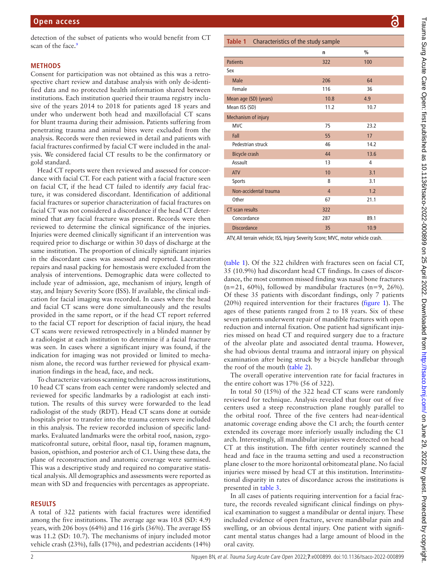scan of the face.<sup>9</sup>

## **METHODS**

Consent for participation was not obtained as this was a retrospective chart review and database analysis with only de-identified data and no protected health information shared between institutions. Each institution queried their trauma registry inclusive of the years 2014 to 2018 for patients aged 18 years and under who underwent both head and maxillofacial CT scans for blunt trauma during their admission. Patients suffering from penetrating trauma and animal bites were excluded from the analysis. Records were then reviewed in detail and patients with facial fractures confirmed by facial CT were included in the analysis. We considered facial CT results to be the confirmatory or gold standard.

Head CT reports were then reviewed and assessed for concordance with facial CT. For each patient with a facial fracture seen on facial CT, if the head CT failed to identify *any* facial fracture, it was considered discordant. Identification of additional facial fractures or superior characterization of facial fractures on facial CT was not considered a discordance if the head CT determined that *any* facial fracture was present. Records were then reviewed to determine the clinical significance of the injuries. Injuries were deemed clinically significant if an intervention was required prior to discharge or within 30 days of discharge at the same institution. The proportion of clinically significant injuries in the discordant cases was assessed and reported. Laceration repairs and nasal packing for hemostasis were excluded from the analysis of interventions. Demographic data were collected to include year of admission, age, mechanism of injury, length of stay, and Injury Severity Score (ISS). If available, the clinical indication for facial imaging was recorded. In cases where the head and facial CT scans were done simultaneously and the results provided in the same report, or if the head CT report referred to the facial CT report for description of facial injury, the head CT scans were reviewed retrospectively in a blinded manner by a radiologist at each institution to determine if a facial fracture was seen. In cases where a significant injury was found, if the indication for imaging was not provided or limited to mechanism alone, the record was further reviewed for physical examination findings in the head, face, and neck.

To characterize various scanning techniques across institutions, 10 head CT scans from each center were randomly selected and reviewed for specific landmarks by a radiologist at each institution. The results of this survey were forwarded to the lead radiologist of the study (RDT). Head CT scans done at outside hospitals prior to transfer into the trauma centers were included in this analysis. The review recorded inclusion of specific landmarks. Evaluated landmarks were the orbital roof, nasion, zygomaticofrontal suture, orbital floor, nasal tip, foramen magnum, basion, opisthion, and posterior arch of C1. Using these data, the plane of reconstruction and anatomic coverage were surmised. This was a descriptive study and required no comparative statistical analysis. All demographics and assessments were reported as mean with SD and frequencies with percentages as appropriate.

## **RESULTS**

A total of 322 patients with facial fractures were identified among the five institutions. The average age was 10.8 (SD: 4.9) years, with 206 boys (64%) and 116 girls (36%). The average ISS was 11.2 (SD: 10.7). The mechanisms of injury included motor vehicle crash (23%), falls (17%), and pedestrian accidents (14%)

# <span id="page-1-0"></span>**Table 1** Characteristics of the study sample

| Table T Characteristics of the study sample |                |               |  |
|---------------------------------------------|----------------|---------------|--|
|                                             | n              | $\frac{0}{0}$ |  |
| <b>Patients</b>                             | 322            | 100           |  |
| Sex                                         |                |               |  |
| <b>Male</b>                                 | 206            | 64            |  |
| Female                                      | 116            | 36            |  |
| Mean age (SD) (years)                       | 10.8           | 4.9           |  |
| Mean ISS (SD)                               | 11.2           | 10.7          |  |
| Mechanism of injury                         |                |               |  |
| <b>MVC</b>                                  | 75             | 23.2          |  |
| Fall                                        | 55             | 17            |  |
| Pedestrian struck                           | 46             | 14.2          |  |
| <b>Bicycle crash</b>                        | 44             | 13.6          |  |
| Assault                                     | 13             | 4             |  |
| <b>ATV</b>                                  | 10             | 3.1           |  |
| <b>Sports</b>                               | 8              | 3.1           |  |
| Non-accidental trauma                       | $\overline{4}$ | 1.2           |  |
| Other                                       | 67             | 21.1          |  |
| CT scan results                             | 322            |               |  |
| Concordance                                 | 287            | 89.1          |  |
| <b>Discordance</b>                          | 35             | 10.9          |  |
|                                             |                | .             |  |

ATV, All terrain vehicle; ISS, Injury Severity Score; MVC, motor vehicle crash.

([table](#page-1-0) 1). Of the 322 children with fractures seen on facial CT, 35 (10.9%) had discordant head CT findings. In cases of discordance, the most common missed finding was nasal bone fractures  $(n=21, 60\%)$ , followed by mandibular fractures  $(n=9, 26\%)$ . Of these 35 patients with discordant findings, only 7 patients (20%) required intervention for their fractures [\(figure](#page-2-0) 1). The ages of these patients ranged from 2 to 18 years. Six of these seven patients underwent repair of mandible fractures with open reduction and internal fixation. One patient had significant injuries missed on head CT and required surgery due to a fracture of the alveolar plate and associated dental trauma. However, she had obvious dental trauma and intraoral injury on physical examination after being struck by a bicycle handlebar through the roof of the mouth [\(table](#page-2-1) 2).

The overall operative intervention rate for facial fractures in the entire cohort was 17% (56 of 322).

In total 50 (15%) of the 322 head CT scans were randomly reviewed for technique. Analysis revealed that four out of five centers used a steep reconstruction plane roughly parallel to the orbital roof. Three of the five centers had near-identical anatomic coverage ending above the C1 arch; the fourth center extended its coverage more inferiorly usually including the C1 arch. Interestingly, all mandibular injuries were detected on head CT at this institution. The fifth center routinely scanned the head and face in the trauma setting and used a reconstruction plane closer to the more horizontal orbitomeatal plane. No facial injuries were missed by head CT at this institution. Interinstitutional disparity in rates of discordance across the institutions is presented in [table](#page-3-0) 3.

In all cases of patients requiring intervention for a facial fracture, the records revealed significant clinical findings on physical examination to suggest a mandibular or dental injury. These included evidence of open fracture, severe mandibular pain and swelling, or an obvious dental injury. One patient with significant mental status changes had a large amount of blood in the oral cavity.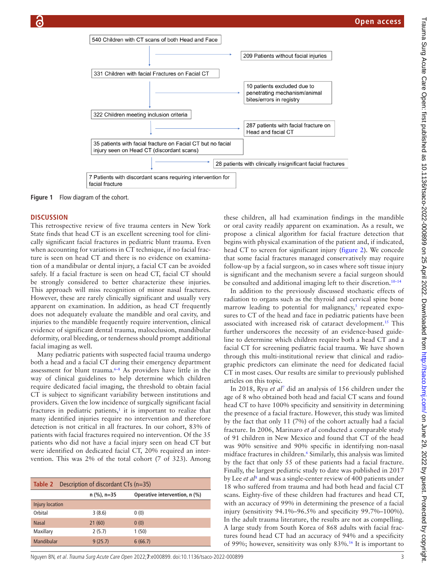

**Figure 1** Flow diagram of the cohort.

#### **DISCUSSION**

This retrospective review of five trauma centers in New York State finds that head CT is an excellent screening tool for clinically significant facial fractures in pediatric blunt trauma. Even when accounting for variations in CT technique, if no facial fracture is seen on head CT and there is no evidence on examination of a mandibular or dental injury, a facial CT can be avoided safely. If a facial fracture is seen on head CT, facial CT should be strongly considered to better characterize these injuries. This approach will miss recognition of minor nasal fractures. However, these are rarely clinically significant and usually very apparent on examination. In addition, as head CT frequently does not adequately evaluate the mandible and oral cavity, and injuries to the mandible frequently require intervention, clinical evidence of significant dental trauma, malocclusion, mandibular deformity, oral bleeding, or tenderness should prompt additional facial imaging as well.

Many pediatric patients with suspected facial trauma undergo both a head and a facial CT during their emergency department assessment for blunt trauma[.6–8](#page-4-3) As providers have little in the way of clinical guidelines to help determine which children require dedicated facial imaging, the threshold to obtain facial CT is subject to significant variability between institutions and providers. Given the low incidence of surgically significant facial fractures in pediatric patients, $\frac{1}{x}$  it is important to realize that many identified injuries require no intervention and therefore detection is not critical in all fractures. In our cohort, 83% of patients with facial fractures required no intervention. Of the 35 patients who did not have a facial injury seen on head CT but were identified on dedicated facial CT, 20% required an intervention. This was 2% of the total cohort (7 of 323). Among

<span id="page-2-1"></span>

|                        | <b>Table 2</b> Description of discordant CTs $(n=35)$ |               |                               |  |  |
|------------------------|-------------------------------------------------------|---------------|-------------------------------|--|--|
|                        |                                                       | $n$ (%), n=35 | Operative intervention, n (%) |  |  |
| <b>Injury location</b> |                                                       |               |                               |  |  |
| Orbital                |                                                       | 3(8.6)        | 0(0)                          |  |  |
| <b>Nasal</b>           |                                                       | 21(60)        | 0(0)                          |  |  |
| Maxillary              |                                                       | 2(5.7)        | 1(50)                         |  |  |
| Mandibular             |                                                       | 9(25.7)       | 6(66.7)                       |  |  |

<span id="page-2-0"></span>these children, all had examination findings in the mandible or oral cavity readily apparent on examination. As a result, we propose a clinical algorithm for facial fracture detection that begins with physical examination of the patient and, if indicated, head CT to screen for significant injury ([figure](#page-3-1) 2). We concede that some facial fractures managed conservatively may require follow-up by a facial surgeon, so in cases where soft tissue injury is significant and the mechanism severe a facial surgeon should be consulted and additional imaging left to their discretion.<sup>10-14</sup>

In addition to the previously discussed stochastic effects of radiation to organs such as the thyroid and cervical spine bone marrow leading to potential for malignancy,<sup>3</sup> repeated exposures to CT of the head and face in pediatric patients have been associated with increased risk of cataract development.<sup>15</sup> This further underscores the necessity of an evidence-based guideline to determine which children require both a head CT and a facial CT for screening pediatric facial trauma. We have shown through this multi-institutional review that clinical and radiographic predictors can eliminate the need for dedicated facial CT in most cases. Our results are similar to previously published articles on this topic.

In 2018, Ryu *et al*<sup>[7](#page-4-7)</sup> did an analysis of 156 children under the age of 8 who obtained both head and facial CT scans and found head CT to have 100% specificity and sensitivity in determining the presence of a facial fracture. However, this study was limited by the fact that only 11 (7%) of the cohort actually had a facial fracture. In 2006, Marinaro *et al* conducted a comparable study of 91 children in New Mexico and found that CT of the head was 90% sensitive and 90% specific in identifying non-nasal midface fractures in children.<sup>[6](#page-4-3)</sup> Similarly, this analysis was limited by the fact that only 55 of these patients had a facial fracture. Finally, the largest pediatric study to date was published in 2017 by Lee *et al*<sup>[8](#page-4-8)</sup> and was a single-center review of 400 patients under 18 who suffered from trauma and had both head and facial CT scans. Eighty-five of these children had fractures and head CT, with an accuracy of 99% in determining the presence of a facial injury (sensitivity 94.1%–96.5% and specificity 99.7%–100%). In the adult trauma literature, the results are not as compelling. A large study from South Korea of 868 adults with facial fractures found head CT had an accuracy of 94% and a specificity of 99%; however, sensitivity was only 83%.[16](#page-4-9) It is important to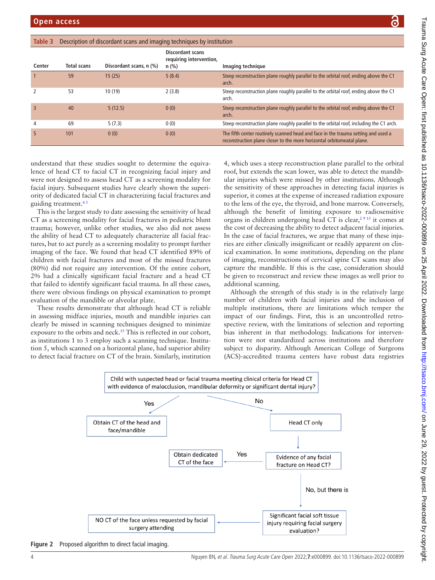|                                             | )<br>:                                                                                                                                                                                                                         |
|---------------------------------------------|--------------------------------------------------------------------------------------------------------------------------------------------------------------------------------------------------------------------------------|
| ī                                           |                                                                                                                                                                                                                                |
|                                             |                                                                                                                                                                                                                                |
|                                             |                                                                                                                                                                                                                                |
|                                             |                                                                                                                                                                                                                                |
|                                             |                                                                                                                                                                                                                                |
|                                             |                                                                                                                                                                                                                                |
|                                             |                                                                                                                                                                                                                                |
|                                             |                                                                                                                                                                                                                                |
|                                             |                                                                                                                                                                                                                                |
|                                             |                                                                                                                                                                                                                                |
|                                             |                                                                                                                                                                                                                                |
|                                             |                                                                                                                                                                                                                                |
|                                             |                                                                                                                                                                                                                                |
|                                             |                                                                                                                                                                                                                                |
|                                             |                                                                                                                                                                                                                                |
|                                             |                                                                                                                                                                                                                                |
|                                             |                                                                                                                                                                                                                                |
|                                             |                                                                                                                                                                                                                                |
|                                             |                                                                                                                                                                                                                                |
|                                             |                                                                                                                                                                                                                                |
|                                             |                                                                                                                                                                                                                                |
|                                             |                                                                                                                                                                                                                                |
|                                             | in the company of the company of the company of the company of the company of the company of the company of the company of the company of the company of the company of the company of the company of the company of the compa |
|                                             |                                                                                                                                                                                                                                |
|                                             |                                                                                                                                                                                                                                |
|                                             |                                                                                                                                                                                                                                |
|                                             |                                                                                                                                                                                                                                |
|                                             |                                                                                                                                                                                                                                |
|                                             |                                                                                                                                                                                                                                |
|                                             |                                                                                                                                                                                                                                |
|                                             |                                                                                                                                                                                                                                |
|                                             |                                                                                                                                                                                                                                |
|                                             |                                                                                                                                                                                                                                |
|                                             |                                                                                                                                                                                                                                |
|                                             |                                                                                                                                                                                                                                |
|                                             |                                                                                                                                                                                                                                |
|                                             |                                                                                                                                                                                                                                |
|                                             |                                                                                                                                                                                                                                |
| ر<br>3<br>.                                 |                                                                                                                                                                                                                                |
|                                             |                                                                                                                                                                                                                                |
|                                             |                                                                                                                                                                                                                                |
|                                             | $\ddot{\phantom{0}}$                                                                                                                                                                                                           |
|                                             |                                                                                                                                                                                                                                |
|                                             |                                                                                                                                                                                                                                |
|                                             |                                                                                                                                                                                                                                |
|                                             |                                                                                                                                                                                                                                |
|                                             |                                                                                                                                                                                                                                |
|                                             |                                                                                                                                                                                                                                |
|                                             |                                                                                                                                                                                                                                |
|                                             |                                                                                                                                                                                                                                |
|                                             |                                                                                                                                                                                                                                |
| ・ク・ニークタ うろうろ インワイ うろうろうろ クニーイク ごうこ インクイン・リッ |                                                                                                                                                                                                                                |
|                                             |                                                                                                                                                                                                                                |
|                                             |                                                                                                                                                                                                                                |
|                                             |                                                                                                                                                                                                                                |
|                                             |                                                                                                                                                                                                                                |
|                                             |                                                                                                                                                                                                                                |
|                                             |                                                                                                                                                                                                                                |
| ININGROED IIN                               |                                                                                                                                                                                                                                |
| $\frac{1}{2}$                               |                                                                                                                                                                                                                                |
|                                             |                                                                                                                                                                                                                                |
|                                             |                                                                                                                                                                                                                                |
|                                             |                                                                                                                                                                                                                                |
|                                             |                                                                                                                                                                                                                                |
|                                             |                                                                                                                                                                                                                                |
|                                             |                                                                                                                                                                                                                                |
|                                             |                                                                                                                                                                                                                                |
|                                             |                                                                                                                                                                                                                                |
|                                             |                                                                                                                                                                                                                                |
|                                             |                                                                                                                                                                                                                                |
|                                             |                                                                                                                                                                                                                                |
|                                             |                                                                                                                                                                                                                                |
|                                             |                                                                                                                                                                                                                                |
|                                             |                                                                                                                                                                                                                                |
|                                             |                                                                                                                                                                                                                                |
|                                             |                                                                                                                                                                                                                                |
|                                             |                                                                                                                                                                                                                                |
|                                             |                                                                                                                                                                                                                                |
|                                             |                                                                                                                                                                                                                                |
|                                             |                                                                                                                                                                                                                                |
|                                             |                                                                                                                                                                                                                                |
|                                             |                                                                                                                                                                                                                                |
|                                             |                                                                                                                                                                                                                                |
|                                             |                                                                                                                                                                                                                                |
|                                             |                                                                                                                                                                                                                                |
|                                             |                                                                                                                                                                                                                                |
|                                             |                                                                                                                                                                                                                                |
|                                             |                                                                                                                                                                                                                                |
|                                             |                                                                                                                                                                                                                                |
|                                             |                                                                                                                                                                                                                                |
|                                             |                                                                                                                                                                                                                                |
|                                             |                                                                                                                                                                                                                                |
|                                             |                                                                                                                                                                                                                                |
|                                             |                                                                                                                                                                                                                                |
|                                             |                                                                                                                                                                                                                                |
|                                             |                                                                                                                                                                                                                                |
|                                             |                                                                                                                                                                                                                                |
|                                             |                                                                                                                                                                                                                                |

ਤੋਂ

<span id="page-3-0"></span>

| Table 3        | Description of discordant scans and imaging techniques by institution |                         |                                                               |                                                                                                                                                             |
|----------------|-----------------------------------------------------------------------|-------------------------|---------------------------------------------------------------|-------------------------------------------------------------------------------------------------------------------------------------------------------------|
| Center         | <b>Total scans</b>                                                    | Discordant scans, n (%) | <b>Discordant scans</b><br>requiring intervention,<br>$n$ (%) | Imaging technique                                                                                                                                           |
|                | 59                                                                    | 15(25)                  | 5(8.4)                                                        | Steep reconstruction plane roughly parallel to the orbital roof, ending above the C1<br>arch.                                                               |
| 2              | 53                                                                    | 10(19)                  | 2(3.8)                                                        | Steep reconstruction plane roughly parallel to the orbital roof, ending above the C1<br>arch.                                                               |
| $\overline{3}$ | 40                                                                    | 5(12.5)                 | 0(0)                                                          | Steep reconstruction plane roughly parallel to the orbital roof, ending above the C1<br>arch.                                                               |
| 4              | 69                                                                    | 5(7.3)                  | 0(0)                                                          | Steep reconstruction plane roughly parallel to the orbital roof, including the C1 arch.                                                                     |
| 5              | 101                                                                   | 0(0)                    | 0(0)                                                          | The fifth center routinely scanned head and face in the trauma setting and used a<br>reconstruction plane closer to the more horizontal orbitomeatal plane. |

understand that these studies sought to determine the equivalence of head CT to facial CT in recognizing facial injury and were not designed to assess head CT as a screening modality for facial injury. Subsequent studies have clearly shown the superiority of dedicated facial CT in characterizing facial fractures and guiding treatment[.4 5](#page-4-10)

This is the largest study to date assessing the sensitivity of head CT as a screening modality for facial fractures in pediatric blunt trauma; however, unlike other studies, we also did not assess the ability of head CT to adequately characterize all facial fractures, but to act purely as a screening modality to prompt further imaging of the face. We found that head CT identified 89% of children with facial fractures and most of the missed fractures (80%) did not require any intervention. Of the entire cohort, 2% had a clinically significant facial fracture and a head CT that failed to identify significant facial trauma. In all these cases, there were obvious findings on physical examination to prompt evaluation of the mandible or alveolar plate.

These results demonstrate that although head CT is reliable in assessing midface injuries, mouth and mandible injuries can clearly be missed in scanning techniques designed to minimize exposure to the orbits and neck.<sup>15</sup> This is reflected in our cohort, as institutions 1 to 3 employ such a scanning technique. Institution 5, which scanned on a horizontal plane, had superior ability to detect facial fracture on CT of the brain. Similarly, institution

4, which uses a steep reconstruction plane parallel to the orbital roof, but extends the scan lower, was able to detect the mandibular injuries which were missed by other institutions. Although the sensitivity of these approaches in detecting facial injuries is superior, it comes at the expense of increased radiation exposure to the lens of the eye, the thyroid, and bone marrow. Conversely, although the benefit of limiting exposure to radiosensitive organs in children undergoing head CT is clear,<sup>2915</sup> it comes at the cost of decreasing the ability to detect adjacent facial injuries. In the case of facial fractures, we argue that many of these injuries are either clinically insignificant or readily apparent on clinical examination. In some institutions, depending on the plane of imaging, reconstructions of cervical spine CT scans may also capture the mandible. If this is the case, consideration should be given to reconstruct and review these images as well prior to additional scanning.

Although the strength of this study is in the relatively large number of children with facial injuries and the inclusion of multiple institutions, there are limitations which temper the impact of our findings. First, this is an uncontrolled retrospective review, with the limitations of selection and reporting bias inherent in that methodology. Indications for intervention were not standardized across institutions and therefore subject to disparity. Although American College of Surgeons (ACS)-accredited trauma centers have robust data registries



<span id="page-3-1"></span>**Figure 2** Proposed algorithm to direct facial imaging.